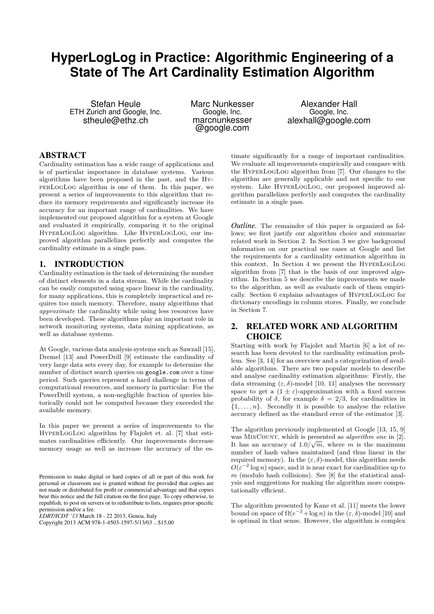# **HyperLogLog in Practice: Algorithmic Engineering of a State of The Art Cardinality Estimation Algorithm**

Stefan Heule ETH Zurich and Google, Inc. stheule@ethz.ch

Marc Nunkesser Google, Inc. marcnunkesser @google.com

Alexander Hall Google, Inc. alexhall@google.com

# ABSTRACT

Cardinality estimation has a wide range of applications and is of particular importance in database systems. Various algorithms have been proposed in the past, and the HyperLogLog algorithm is one of them. In this paper, we present a series of improvements to this algorithm that reduce its memory requirements and significantly increase its accuracy for an important range of cardinalities. We have implemented our proposed algorithm for a system at Google and evaluated it empirically, comparing it to the original HyperLogLog algorithm. Like HyperLogLog, our improved algorithm parallelizes perfectly and computes the cardinality estimate in a single pass.

## 1. INTRODUCTION

Cardinality estimation is the task of determining the number of distinct elements in a data stream. While the cardinality can be easily computed using space linear in the cardinality, for many applications, this is completely impractical and requires too much memory. Therefore, many algorithms that *approximate* the cardinality while using less resources have been developed. These algorithms play an important role in network monitoring systems, data mining applications, as well as database systems.

At Google, various data analysis systems such as Sawzall [15], Dremel [13] and PowerDrill [9] estimate the cardinality of very large data sets every day, for example to determine the number of distinct search queries on google.com over a time period. Such queries represent a hard challenge in terms of computational resources, and memory in particular: For the PowerDrill system, a non-negligible fraction of queries historically could not be computed because they exceeded the available memory.

In this paper we present a series of improvements to the HyperLogLog algorithm by Flajolet et. al. [7] that estimates cardinalities efficiently. Our improvements decrease memory usage as well as increase the accuracy of the es-

*EDBT/ICDT '13* March 18 - 22 2013, Genoa, Italy

Copyright 2013 ACM 978-1-4503-1597-5/13/03 ...\$15.00

timate significantly for a range of important cardinalities. We evaluate all improvements empirically and compare with the HyperLogLog algorithm from [7]. Our changes to the algorithm are generally applicable and not specific to our system. Like HyperLogLog, our proposed improved algorithm parallelizes perfectly and computes the cardinality estimate in a single pass.

*Outline.* The remainder of this paper is organized as follows; we first justify our algorithm choice and summarize related work in Section 2. In Section 3 we give background information on our practical use cases at Google and list the requirements for a cardinality estimation algorithm in this context. In Section 4 we present the HyperLogLog algorithm from [7] that is the basis of our improved algorithm. In Section 5 we describe the improvements we made to the algorithm, as well as evaluate each of them empirically. Section 6 explains advantages of HyperLogLog for dictionary encodings in column stores. Finally, we conclude in Section 7.

# 2. RELATED WORK AND ALGORITHM **CHOICE**

Starting with work by Flajolet and Martin [6] a lot of research has been devoted to the cardinality estimation problem. See [3, 14] for an overview and a categorization of available algorithms. There are two popular models to describe and analyse cardinality estimation algorithms: Firstly, the data streaming  $(\varepsilon, \delta)$ -model [10, 11] analyses the necessary space to get a  $(1 \pm \varepsilon)$ -approximation with a fixed success probability of  $\delta$ , for example  $\delta = 2/3$ , for cardinalities in  $\{1, \ldots, n\}$ . Secondly it is possible to analyse the relative accuracy defined as the standard error of the estimator [3].

The algorithm previously implemented at Google [13, 15, 9] was MINCOUNT, which is presented as *algorithm one* in [2]. It has an accuracy of  $1.0/\sqrt{m}$ , where *m* is the maximum number of hash values maintained (and thus linear in the required memory). In the  $(ε, δ)$ -model, this algorithm needs  $O(\varepsilon^{-2} \log n)$  space, and it is near exact for cardinalities up to *m* (modulo hash collisions). See [8] for the statistical analysis and suggestions for making the algorithm more computationally efficient.

The algorithm presented by Kane et al. [11] meets the lower bound on space of  $\Omega(e^{-2} + \log n)$  in the  $(\varepsilon, \delta)$ -model [10] and is optimal in that sense. However, the algorithm is complex

Permission to make digital or hard copies of all or part of this work for personal or classroom use is granted without fee provided that copies are not made or distributed for profit or commercial advantage and that copies bear this notice and the full citation on the first page. To copy otherwise, to republish, to post on servers or to redistribute to lists, requires prior specific permission and/or a fee.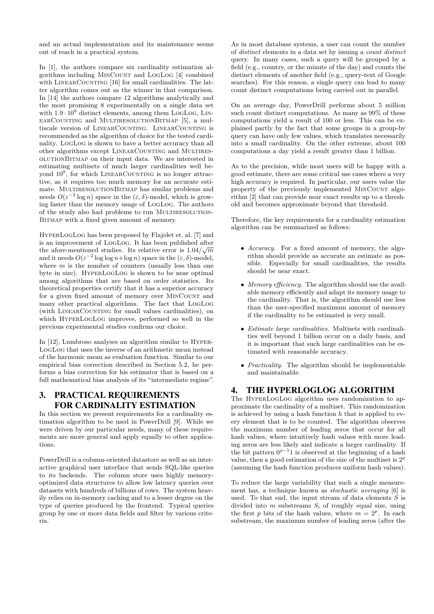and an actual implementation and its maintenance seems out of reach in a practical system.

In [1], the authors compare six cardinality estimation algorithms including MinCount and LogLog [4] combined with LINEARCOUNTING [16] for small cardinalities. The latter algorithm comes out as the winner in that comparison. In [14] the authors compare 12 algorithms analytically and the most promising 8 experimentally on a single data set with  $1.9 \cdot 10^6$  distinct elements, among them LOGLOG, LINearCounting and MultiresolutionBitmap [5], a multiscale version of LINEARCOUNTING. LINEARCOUNTING is recommended as the algorithm of choice for the tested cardinality. LogLog is shown to have a better accuracy than all other algorithms except LINEARCOUNTING and MULTIRESolutionBitmap on their input data. We are interested in estimating multisets of much larger cardinalities well beyond  $10^9$ , for which LINEARCOUNTING is no longer attractive, as it requires too much memory for an accurate estimate. MULTIRESOLUTIONBITMAP has similar problems and needs  $O(\varepsilon^{-2} \log n)$  space in the  $(\varepsilon, \delta)$ -model, which is growing faster than the memory usage of LogLog. The authors of the study also had problems to run MULTIRESOLUTION-BITMAP with a fixed given amount of memory.

HyperLogLog has been proposed by Flajolet et. al. [7] and is an improvement of LogLog. It has been published after the afore-mentioned studies. Its relative error is  $1.04/\sqrt{m}$ and it needs  $O(\varepsilon^{-2} \log \log n + \log n)$  space in the  $(\varepsilon, \delta)$ -model, where *m* is the number of counters (usually less than one byte in size). HyperLogLog is shown to be near optimal among algorithms that are based on order statistics. Its theoretical properties certify that it has a superior accuracy for a given fixed amount of memory over MINCOUNT and many other practical algorithms. The fact that LogLog (with LINEARCOUNTING for small values cardinalities), on which HyperLogLog improves, performed so well in the previous experimental studies confirms our choice.

In [12], Lumbroso analyses an algorithm similar to Hyper-LogLog that uses the inverse of an arithmetic mean instead of the harmonic mean as evaluation function. Similar to our empirical bias correction described in Section 5.2, he performs a bias correction for his estimator that is based on a full mathematical bias analysis of its "intermediate regime".

# 3. PRACTICAL REQUIREMENTS FOR CARDINALITY ESTIMATION

In this section we present requirements for a cardinality estimation algorithm to be used in PowerDrill [9]. While we were driven by our particular needs, many of these requirements are more general and apply equally to other applications.

PowerDrill is a column-oriented datastore as well as an interactive graphical user interface that sends SQL-like queries to its backends. The column store uses highly memoryoptimized data structures to allow low latency queries over datasets with hundreds of billions of rows. The system heavily relies on in-memory caching and to a lesser degree on the type of queries produced by the frontend. Typical queries group by one or more data fields and filter by various criteria.

As in most database systems, a user can count the number of *distinct* elements in a data set by issuing a *count distinct* query. In many cases, such a query will be grouped by a field (e.g., country, or the minute of the day) and counts the distinct elements of another field (e.g., query-text of Google searches). For this reason, a single query can lead to many count distinct computations being carried out in parallel.

On an average day, PowerDrill performs about 5 million such count distinct computations. As many as 99% of these computations yield a result of 100 or less. This can be explained partly by the fact that some groups in a group-by query can have only few values, which translates necessarily into a small cardinality. On the other extreme, about 100 computations a day yield a result greater than 1 billion.

As to the precision, while most users will be happy with a good estimate, there are some critical use cases where a very high accuracy is required. In particular, our users value the property of the previously implemented MINCOUNT algorithm [2] that can provide near exact results up to a threshold and becomes approximate beyond that threshold.

Therefore, the key requirements for a cardinality estimation algorithm can be summarized as follows:

- *Accuracy.* For a fixed amount of memory, the algorithm should provide as accurate an estimate as possible. Especially for small cardinalities, the results should be near exact.
- *Memory efficiency.* The algorithm should use the available memory efficiently and adapt its memory usage to the cardinality. That is, the algorithm should use less than the user-specified maximum amount of memory if the cardinality to be estimated is very small.
- *Estimate large cardinalities.* Multisets with cardinalities well beyond 1 billion occur on a daily basis, and it is important that such large cardinalities can be estimated with reasonable accuracy.
- *Practicality.* The algorithm should be implementable and maintainable.

# 4. THE HYPERLOGLOG ALGORITHM

The HyperLogLog algorithm uses randomization to approximate the cardinality of a multiset. This randomization is achieved by using a hash function *h* that is applied to every element that is to be counted. The algorithm observes the maximum number of leading zeros that occur for all hash values, where intuitively hash values with more leading zeros are less likely and indicate a larger cardinality. If the bit pattern  $0^{p-1}1$  is observed at the beginning of a hash value, then a good estimation of the size of the multiset is  $2<sup>\varrho</sup>$ (assuming the hash function produces uniform hash values).

To reduce the large variability that such a single measurement has, a technique known as *stochastic averaging* [6] is used. To that end, the input stream of data elements *S* is divided into *m* substreams *S<sup>i</sup>* of roughly equal size, using the first *p* bits of the hash values, where  $m = 2^p$ . In each substream, the maximum number of leading zeros (after the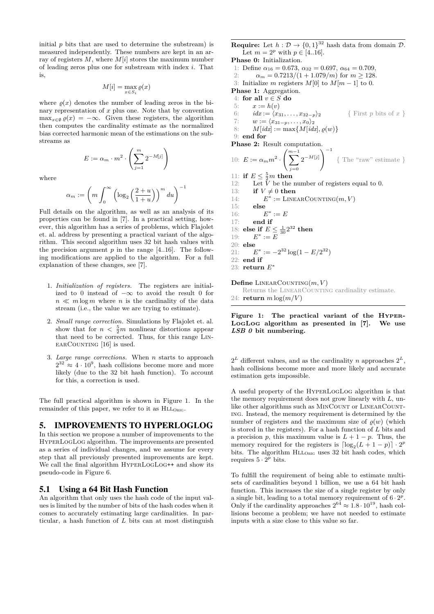initial  $p$  bits that are used to determine the substream) is measured independently. These numbers are kept in an array of registers *M*, where *M*[*i*] stores the maximum number of leading zeros plus one for substream with index *i*. That is,

$$
M[i] = \max_{x \in S_i} \varrho(x)
$$

where  $\rho(x)$  denotes the number of leading zeros in the binary representation of *x* plus one. Note that by convention  $\max_{x \in \emptyset} \varrho(x) = -\infty$ . Given these registers, the algorithm then computes the cardinality estimate as the normalized bias corrected harmonic mean of the estimations on the substreams as

$$
E := \alpha_m \cdot m^2 \cdot \left(\sum_{j=1}^m 2^{-M[j]}\right)
$$

where

$$
\alpha_m := \left( m \int_0^\infty \left( \log_2 \left( \frac{2+u}{1+u} \right) \right)^m du \right)^{-1}
$$

Full details on the algorithm, as well as an analysis of its properties can be found in [7]. In a practical setting, however, this algorithm has a series of problems, which Flajolet et. al. address by presenting a practical variant of the algorithm. This second algorithm uses 32 bit hash values with the precision argument  $p$  in the range  $[4..16]$ . The following modifications are applied to the algorithm. For a full explanation of these changes, see [7].

- 1. *Initialization of registers.* The registers are initialized to 0 instead of  $-\infty$  to avoid the result 0 for  $n \ll m \log m$  where *n* is the cardinality of the data stream (i.e., the value we are trying to estimate).
- 2. *Small range correction.* Simulations by Flajolet et. al. show that for  $n < \frac{5}{2}m$  nonlinear distortions appear that need to be corrected. Thus, for this range Lin- $EARCOUNTING [16]$  is used.
- 3. *Large range corrections.* When *n* starts to approach  $2^{32} \approx 4 \cdot 10^9$ , hash collisions become more and more likely (due to the 32 bit hash function). To account for this, a correction is used.

The full practical algorithm is shown in Figure 1. In the remainder of this paper, we refer to it as  $HLL_{ORIG}$ .

## 5. IMPROVEMENTS TO HYPERLOGLOG

In this section we propose a number of improvements to the HyperLogLog algorithm. The improvements are presented as a series of individual changes, and we assume for every step that all previously presented improvements are kept. We call the final algorithm HYPERLOGLOG<sup>++</sup> and show its pseudo-code in Figure 6.

#### 5.1 Using a 64 Bit Hash Function

An algorithm that only uses the hash code of the input values is limited by the number of bits of the hash codes when it comes to accurately estimating large cardinalities. In particular, a hash function of *L* bits can at most distinguish

**Require:** Let  $h: \mathcal{D} \to \{0,1\}^{32}$  hash data from domain  $\mathcal{D}$ . Let  $m = 2^p$  with  $p \in [4..16]$ . **Phase 0:** Initialization. 1: Define  $\alpha_{16} = 0.673$ ,  $\alpha_{32} = 0.697$ ,  $\alpha_{64} = 0.709$ , 2:  $\alpha_m = \frac{0.7213}{1 + 1.079}{m}$  for  $m \ge 128$ . 3: Initialize *m* registers  $M[0]$  to  $M[m-1]$  to 0. **Phase 1:** Aggregation. 4: **for all** *v* ∈ *S* **do** 5:  $x := h(v)$ 6:  $idx := \langle x_{31}, \ldots, x_{32-p} \rangle_2$  { First *p* bits of *x* } 7:  $w := \langle x_{31-p}, \ldots, x_0 \rangle_2$ 8:  $M[idx] := \max\{M[idx], \varrho(w)\}\$ 9: **end for Phase 2:** Result computation. 10:  $E := \alpha_m m^2 \cdot \left( \sum_{m=1}^{m-1} \right)$ *j*=0  $\left(2^{-M[j]}\right)^{-1}$ { The "raw" estimate } 11: **if**  $E \leq \frac{5}{2}m$  **then** 5 12: Let *V* be the number of registers equal to 0. 13: **if**  $V \neq 0$  **then**  $14:$  $\tilde{f}^* :=$  LINEARCOUNTING $(m, V)$ 15: **else**  $16:$ ∗ := *E* 17: **end if** 18: **else if**  $E \le \frac{1}{30} 2^{32}$  **then** 19: *E* ∗ := *E* 20: **else** 21: *E* <sup>\*</sup> :=  $-2^{32}$  log(1 − *E*/2<sup>32</sup>) 22: **end if** 23: **return** *E* ∗  $\mathbf{Define}\$  LINEARCOUNTING $(m, V)$ Returns the LINEARCOUNTING cardinality estimate. 24: **return**  $m \log(m/V)$ 

#### **Figure 1: The practical variant of the** Hyper-LogLog **algorithm as presented in [7]. We use** *LSB 0* **bit numbering.**

 $2^L$  different values, and as the cardinality *n* approaches  $2^L$ , hash collisions become more and more likely and accurate estimation gets impossible.

A useful property of the HyperLogLog algorithm is that the memory requirement does not grow linearly with *L*, unlike other algorithms such as MINCOUNT or LINEARCOUNTing. Instead, the memory requirement is determined by the number of registers and the maximum size of  $\rho(w)$  (which is stored in the registers). For a hash function of *L* bits and a precision *p*, this maximum value is  $L + 1 - p$ . Thus, the memory required for the registers is  $\lceil \log_2(L+1-p) \rceil \cdot 2^p$ bits. The algorithm HLL<sub>ORIG</sub> uses 32 bit hash codes, which requires  $5 \cdot 2^p$  bits.

To fulfill the requirement of being able to estimate multisets of cardinalities beyond 1 billion, we use a 64 bit hash function. This increases the size of a single register by only a single bit, leading to a total memory requirement of  $6 \cdot 2^p$ . Only if the cardinality approaches  $2^{64} \approx 1.8 \cdot 10^{19}$ , hash collisions become a problem; we have not needed to estimate inputs with a size close to this value so far.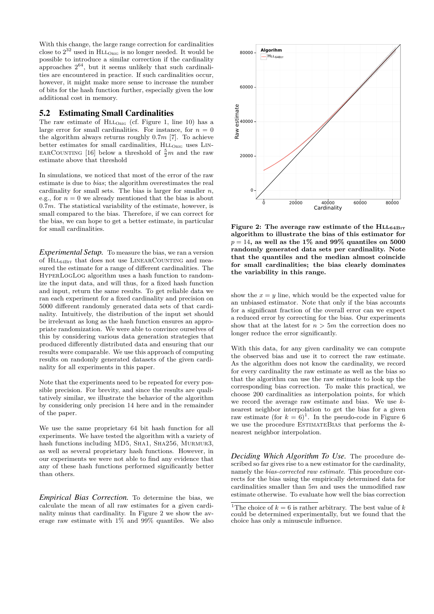With this change, the large range correction for cardinalities close to  $2^{32}$  used in  $HLL_{ORIG}$  is no longer needed. It would be possible to introduce a similar correction if the cardinality approaches 2 <sup>64</sup>, but it seems unlikely that such cardinalities are encountered in practice. If such cardinalities occur, however, it might make more sense to increase the number of bits for the hash function further, especially given the low additional cost in memory.

#### 5.2 Estimating Small Cardinalities

The raw estimate of  $HLL_{ORIG}$  (cf. Figure 1, line 10) has a large error for small cardinalities. For instance, for  $n = 0$ the algorithm always returns roughly 0*.*7*m* [7]. To achieve better estimates for small cardinalities,  $HLL<sub>ORIG</sub>$  uses LIN-EARCOUNTING [16] below a threshold of  $\frac{5}{2}m$  and the raw estimate above that threshold

In simulations, we noticed that most of the error of the raw estimate is due to *bias*; the algorithm overestimates the real cardinality for small sets. The bias is larger for smaller *n*, e.g., for  $n = 0$  we already mentioned that the bias is about 0*.*7*m*. The statistical variability of the estimate, however, is small compared to the bias. Therefore, if we can correct for the bias, we can hope to get a better estimate, in particular for small cardinalities.

*Experimental Setup.* To measure the bias, we ran a version of  $\rm HL_{\rm 64Br}$  that does not use  $\rm LINEARCOUNTING$  and measured the estimate for a range of different cardinalities. The HyperLogLog algorithm uses a hash function to randomize the input data, and will thus, for a fixed hash function and input, return the same results. To get reliable data we ran each experiment for a fixed cardinality and precision on 5000 different randomly generated data sets of that cardinality. Intuitively, the distribution of the input set should be irrelevant as long as the hash function ensures an appropriate randomization. We were able to convince ourselves of this by considering various data generation strategies that produced differently distributed data and ensuring that our results were comparable. We use this approach of computing results on randomly generated datasets of the given cardinality for all experiments in this paper.

Note that the experiments need to be repeated for every possible precision. For brevity, and since the results are qualitatively similar, we illustrate the behavior of the algorithm by considering only precision 14 here and in the remainder of the paper.

We use the same proprietary 64 bit hash function for all experiments. We have tested the algorithm with a variety of hash functions including MD5, SHA1, SHA256, MURMUR3, as well as several proprietary hash functions. However, in our experiments we were not able to find any evidence that any of these hash functions performed significantly better than others.

*Empirical Bias Correction.* To determine the bias, we calculate the mean of all raw estimates for a given cardinality minus that cardinality. In Figure 2 we show the average raw estimate with 1% and 99% quantiles. We also



Figure 2: The average raw estimate of the HLL<sub>64BIT</sub> **algorithm to illustrate the bias of this estimator for**  $p = 14$ , as well as the 1\% and 99\% quantiles on 5000 **randomly generated data sets per cardinality. Note that the quantiles and the median almost coincide for small cardinalities; the bias clearly dominates the variability in this range.**

show the  $x = y$  line, which would be the expected value for an unbiased estimator. Note that only if the bias accounts for a significant fraction of the overall error can we expect a reduced error by correcting for the bias. Our experiments show that at the latest for  $n > 5m$  the correction does no longer reduce the error significantly.

With this data, for any given cardinality we can compute the observed bias and use it to correct the raw estimate. As the algorithm does not know the cardinality, we record for every cardinality the raw estimate as well as the bias so that the algorithm can use the raw estimate to look up the corresponding bias correction. To make this practical, we choose 200 cardinalities as interpolation points, for which we record the average raw estimate and bias. We use *k*nearest neighbor interpolation to get the bias for a given raw estimate (for  $k = 6$ )<sup>1</sup>. In the pseudo-code in Figure 6 we use the procedure EstimateBias that performs the *k*nearest neighbor interpolation.

*Deciding Which Algorithm To Use.* The procedure described so far gives rise to a new estimator for the cardinality, namely the *bias-corrected raw estimate*. This procedure corrects for the bias using the empirically determined data for cardinalities smaller than 5*m* and uses the unmodified raw estimate otherwise. To evaluate how well the bias correction

<sup>&</sup>lt;sup>1</sup>The choice of  $k = 6$  is rather arbitrary. The best value of  $k$ could be determined experimentally, but we found that the choice has only a minuscule influence.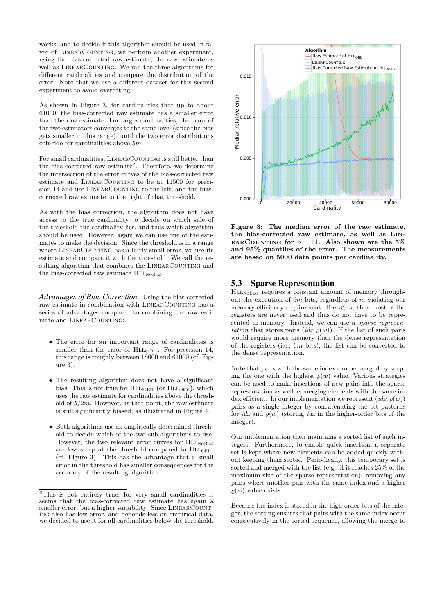works, and to decide if this algorithm should be used in favor of LINEARCOUNTING, we perform another experiment, using the bias-corrected raw estimate, the raw estimate as well as LINEARCOUNTING. We ran the three algorithms for different cardinalities and compare the distribution of the error. Note that we use a different dataset for this second experiment to avoid overfitting.

As shown in Figure 3, for cardinalities that up to about 61000, the bias-corrected raw estimate has a smaller error than the raw estimate. For larger cardinalities, the error of the two estimators converges to the same level (since the bias gets smaller in this range), until the two error distributions coincide for cardinalities above 5*m*.

For small cardinalities, LINEARCOUNTING is still better than the bias-corrected raw estimate<sup>2</sup>. Therefore, we determine the intersection of the error curves of the bias-corrected raw estimate and LINEARCOUNTING to be at 11500 for precision 14 and use LINEARCOUNTING to the left, and the biascorrected raw estimate to the right of that threshold.

As with the bias correction, the algorithm does not have access to the true cardinality to decide on which side of the threshold the cardinality lies, and thus which algorithm should be used. However, again we can use one of the estimates to make the decision. Since the threshold is in a range where LINEARCOUNTING has a fairly small error, we use its estimate and compare it with the threshold. We call the resulting algorithm that combines the LINEARCOUNTING and the bias-corrected raw estimate HLLNOBIAS.

*Advantages of Bias Correction.* Using the bias-corrected raw estimate in combination with LINEARCOUNTING has a series of advantages compared to combining the raw estimate and LINEARCOUNTING:

- The error for an important range of cardinalities is smaller than the error of  $HLL_{64BIT}$ . For precision 14, this range is roughly between 18000 and 61000 (cf. Figure 3).
- The resulting algorithm does not have a significant bias. This is not true for  $HLL_{64\text{Bir}}$  (or  $HLL_{ORIG}$ ), which uses the raw estimate for cardinalities above the threshold of 5*/*2*m*. However, at that point, the raw estimate is still significantly biased, as illustrated in Figure 4.
- Both algorithms use an empirically determined threshold to decide which of the two sub-algorithms to use. However, the two relevant error curves for  $HLL_{\text{NoBlas}}$ are less steep at the threshold compared to  $HLL_{64Bir}$ (cf. Figure 3). This has the advantage that a small error in the threshold has smaller consequences for the accuracy of the resulting algorithm.



**Figure 3: The median error of the raw estimate, the bias-corrected raw estimate, as well as** Lin-**EARCOUNTING** for  $p = 14$ . Also shown are the 5% **and 95% quantiles of the error. The measurements are based on 5000 data points per cardinality.**

#### 5.3 Sparse Representation

HLL<sub>NOBIAS</sub> requires a constant amount of memory throughout the execution of 6*m* bits, regardless of *n*, violating our memory efficiency requirement. If  $n \ll m$ , then most of the registers are never used and thus do not have to be represented in memory. Instead, we can use a *sparse representation* that stores pairs  $(idx, \varrho(w))$ . If the list of such pairs would require more memory than the dense representation of the registers (i.e., 6*m* bits), the list can be converted to the dense representation.

Note that pairs with the same index can be merged by keeping the one with the highest  $\varrho(w)$  value. Various strategies can be used to make insertions of new pairs into the sparse representation as well as merging elements with the same index efficient. In our implementation we represent  $(idx, \rho(w))$ pairs as a single integer by concatenating the bit patterns for  $idx$  and  $\rho(w)$  (storing  $idx$  in the higher-order bits of the integer).

Our implementation then maintains a sorted list of such integers. Furthermore, to enable quick insertion, a separate set is kept where new elements can be added quickly without keeping them sorted. Periodically, this temporary set is sorted and merged with the list (e.g., if it reaches 25% of the maximum size of the sparse representation), removing any pairs where another pair with the same index and a higher  $\rho(w)$  value exists.

Because the index is stored in the high-order bits of the integer, the sorting ensures that pairs with the same index occur consecutively in the sorted sequence, allowing the merge to

<sup>2</sup>This is not entirely true, for very small cardinalities it seems that the bias-corrected raw estimate has again a smaller error, but a higher variability. Since LINEARCOUNTing also has low error, and depends less on empirical data, we decided to use it for all cardinalities below the threshold.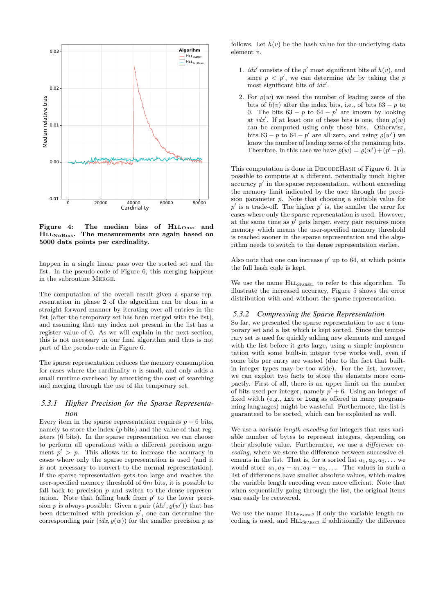

Figure 4: The median bias of HLL<sub>ORIG</sub> and HllNoBias**. The measurements are again based on 5000 data points per cardinality.**

happen in a single linear pass over the sorted set and the list. In the pseudo-code of Figure 6, this merging happens in the subroutine Merge.

The computation of the overall result given a sparse representation in phase 2 of the algorithm can be done in a straight forward manner by iterating over all entries in the list (after the temporary set has been merged with the list), and assuming that any index not present in the list has a register value of 0. As we will explain in the next section, this is not necessary in our final algorithm and thus is not part of the pseudo-code in Figure 6.

The sparse representation reduces the memory consumption for cases where the cardinality *n* is small, and only adds a small runtime overhead by amortizing the cost of searching and merging through the use of the temporary set.

# *5.3.1 Higher Precision for the Sparse Representation*

Every item in the sparse representation requires  $p + 6$  bits, namely to store the index (*p* bits) and the value of that registers (6 bits). In the sparse representation we can choose to perform all operations with a different precision argument  $p' > p$ . This allows us to increase the accuracy in cases where only the sparse representation is used (and it is not necessary to convert to the normal representation). If the sparse representation gets too large and reaches the user-specified memory threshold of 6*m* bits, it is possible to fall back to precision  $p$  and switch to the dense representation. Note that falling back from  $p'$  to the lower precision *p* is always possible: Given a pair  $(idx', g(w'))$  that has been determined with precision  $p'$ , one can determine the corresponding pair  $(idx, \varrho(w))$  for the smaller precision p as follows. Let  $h(v)$  be the hash value for the underlying data element *v*.

- 1. *idx'* consists of the *p'* most significant bits of  $h(v)$ , and since  $p \leq p'$ , we can determine *idx* by taking the *p* most significant bits of *idx'*.
- 2. For  $\rho(w)$  we need the number of leading zeros of the bits of  $h(v)$  after the index bits, i.e., of bits  $63 - p$  to 0. The bits  $63 - p$  to  $64 - p'$  are known by looking at *idx'*. If at least one of these bits is one, then  $\varrho(w)$ can be computed using only those bits. Otherwise, bits  $63 - p$  to  $64 - p'$  are all zero, and using  $\rho(w')$  we know the number of leading zeros of the remaining bits. Therefore, in this case we have  $\varrho(w) = \varrho(w') + (p' - p)$ .

This computation is done in DECODEHASH of Figure 6. It is possible to compute at a different, potentially much higher  $\alpha$  accuracy  $p'$  in the sparse representation, without exceeding the memory limit indicated by the user through the precision parameter *p*. Note that choosing a suitable value for  $p'$  is a trade-off. The higher  $p'$  is, the smaller the error for cases where only the sparse representation is used. However, at the same time as  $p'$  gets larger, every pair requires more memory which means the user-specified memory threshold is reached sooner in the sparse representation and the algorithm needs to switch to the dense representation earlier.

Also note that one can increase  $p'$  up to 64, at which points the full hash code is kept.

We use the name  $HLL_{SPARSE1}$  to refer to this algorithm. To illustrate the increased accuracy, Figure 5 shows the error distribution with and without the sparse representation.

#### *5.3.2 Compressing the Sparse Representation*

So far, we presented the sparse representation to use a temporary set and a list which is kept sorted. Since the temporary set is used for quickly adding new elements and merged with the list before it gets large, using a simple implementation with some built-in integer type works well, even if some bits per entry are wasted (due to the fact that builtin integer types may be too wide). For the list, however, we can exploit two facts to store the elements more compactly. First of all, there is an upper limit on the number of bits used per integer, namely  $p' + 6$ . Using an integer of fixed width (e.g., int or long as offered in many programming languages) might be wasteful. Furthermore, the list is guaranteed to be sorted, which can be exploited as well.

We use a *variable length encoding* for integers that uses variable number of bytes to represent integers, depending on their absolute value. Furthermore, we use a *difference encoding*, where we store the difference between successive elements in the list. That is, for a sorted list  $a_1, a_2, a_3, \ldots$  we would store  $a_1, a_2 - a_1, a_3 - a_2, \ldots$  The values in such a list of differences have smaller absolute values, which makes the variable length encoding even more efficient. Note that when sequentially going through the list, the original items can easily be recovered.

We use the name  $HLL_{SPARSE2}$  if only the variable length encoding is used, and  $HLL_{SPARSE3}$  if additionally the difference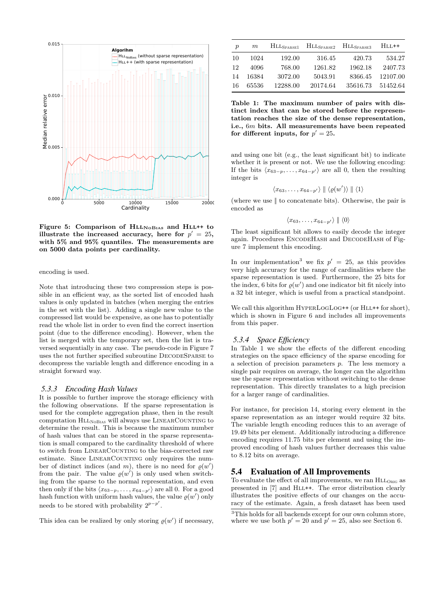

Figure 5: Comparison of  $HLL_{\text{NoBias}}$  and  $HLL^{++}$  to **illustrate the increased accuracy, here for**  $p' = 25$ , **with 5% and 95% quantiles. The measurements are on 5000 data points per cardinality.**

encoding is used.

Note that introducing these two compression steps is possible in an efficient way, as the sorted list of encoded hash values is only updated in batches (when merging the entries in the set with the list). Adding a single new value to the compressed list would be expensive, as one has to potentially read the whole list in order to even find the correct insertion point (due to the difference encoding). However, when the list is merged with the temporary set, then the list is traversed sequentially in any case. The pseudo-code in Figure 7 uses the not further specified subroutine DECODESPARSE to decompress the variable length and difference encoding in a straight forward way.

#### *5.3.3 Encoding Hash Values*

It is possible to further improve the storage efficiency with the following observations. If the sparse representation is used for the complete aggregation phase, then in the result computation HLLNOBIAS will always use LINEARCOUNTING to determine the result. This is because the maximum number of hash values that can be stored in the sparse representation is small compared to the cardinality threshold of where to switch from LINEARCOUNTING to the bias-corrected raw estimate. Since LINEARCOUNTING only requires the number of distinct indices (and  $m$ ), there is no need for  $\varrho(w')$ from the pair. The value  $\varrho(w')$  is only used when switching from the sparse to the normal representation, and even then only if the bits  $\langle x_{63-p}, \ldots, x_{64-p'} \rangle$  are all 0. For a good hash function with uniform hash values, the value  $\varrho(w')$  only needs to be stored with probability  $2^{p-p'}$ .

This idea can be realized by only storing  $\varrho(w')$  if necessary,

| $\boldsymbol{p}$ | m     | $HLL_{\rm SPARSE1}$ | $\rm HL_{SPARSE2}$ | $\rm HL_{SPARSE3}$ | $HLL++$  |
|------------------|-------|---------------------|--------------------|--------------------|----------|
| 10               | 1024  | 192.00              | 316.45             | 420.73             | 534.27   |
| 12               | 4096  | 768.00              | 1261.82            | 1962.18            | 2407.73  |
| 14               | 16384 | 3072.00             | 5043.91            | 8366.45            | 12107.00 |
| -16              | 65536 | 12288.00            | 20174.64           | 35616.73           | 51452.64 |

**Table 1: The maximum number of pairs with distinct index that can be stored before the representation reaches the size of the dense representation, i.e.,** 6*m* **bits. All measurements have been repeated** for different inputs, for  $p' = 25$ .

and using one bit (e.g., the least significant bit) to indicate whether it is present or not. We use the following encoding: If the bits  $\langle x_{63-p}, \ldots, x_{64-p'} \rangle$  are all 0, then the resulting integer is

$$
\langle x_{63},\ldots,x_{64-p'}\rangle\parallel\langle\varrho(w')\rangle\parallel\langle 1\rangle
$$

(where we use || to concatenate bits). Otherwise, the pair is encoded as

 $\langle x_{63}, \ldots, x_{64-n'} \rangle$  ||  $\langle 0 \rangle$ 

The least significant bit allows to easily decode the integer again. Procedures ENCODEHASH and DECODEHASH of Figure 7 implement this encoding.

In our implementation<sup>3</sup> we fix  $p' = 25$ , as this provides very high accuracy for the range of cardinalities where the sparse representation is used. Furthermore, the 25 bits for the index, 6 bits for  $\rho(w')$  and one indicator bit fit nicely into a 32 bit integer, which is useful from a practical standpoint.

We call this algorithm  $HYPERLOGLOG++$  (or  $HLL++$  for short), which is shown in Figure 6 and includes all improvements from this paper.

#### *5.3.4 Space Efficiency*

In Table 1 we show the effects of the different encoding strategies on the space efficiency of the sparse encoding for a selection of precision parameters *p*. The less memory a single pair requires on average, the longer can the algorithm use the sparse representation without switching to the dense representation. This directly translates to a high precision for a larger range of cardinalities.

For instance, for precision 14, storing every element in the sparse representation as an integer would require 32 bits. The variable length encoding reduces this to an average of 19.49 bits per element. Additionally introducing a difference encoding requires 11.75 bits per element and using the improved encoding of hash values further decreases this value to 8.12 bits on average.

#### 5.4 Evaluation of All Improvements

To evaluate the effect of all improvements, we ran  $HLL_{ORIG}$  as presented in [7] and HLL++. The error distribution clearly illustrates the positive effects of our changes on the accuracy of the estimate. Again, a fresh dataset has been used

<sup>&</sup>lt;sup>3</sup>This holds for all backends except for our own column store, where we use both  $p' = 20$  and  $p' = 25$ , also see Section 6.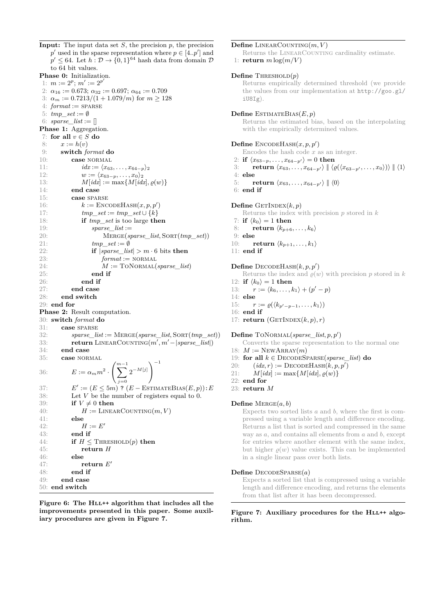**Input:** The input data set *S*, the precision *p*, the precision  $p'$  used in the sparse representation where  $p \in [4..p']$  and  $p' \leq 64$ . Let  $h: \mathcal{D} \to \{0,1\}^{64}$  hash data from domain  $\mathcal{D}$ to 64 bit values. **Phase 0:** Initialization. 1:  $m := 2^p$ ;  $m' := 2^{p'}$ 2:  $\alpha_{16} := 0.673; \ \alpha_{32} := 0.697; \ \alpha_{64} := 0.709$ 3:  $\alpha_m := 0.7213/(1 + 1.079/m)$  for  $m \ge 128$  $4: format :=$  **SPARSE** 5:  $tmp\_set := \emptyset$ 6:  $sparse\_list := []$ Phase 1: Aggregation. 7: **for all** *v* ∈ *S* **do** 8:  $x := h(v)$ 9: **switch** *format* **do** 10: **case** normal 11:  $idx := \langle x_{63}, \ldots, x_{64-p} \rangle_2$ 12:  $w := \langle x_{63-p}, \ldots, x_0 \rangle_2$ 13:  $M[idx] := \max\{M[idx], \varrho(w)\}\$ 14: **end case** 15: **case** sparse 16:  $k := \text{ENCODEHASH}(x, p, p')$ 17:  $tmp\_set := tmp\_set \cup \{k\}$ 18: **if** *tmp\_set* is too large **then** 19: *sparse\_list* := 20: Merge(*sparse\_list,* Sort(*tmp\_set*)) 21: *tmp\_set* := ∅ 22: **if** |*sparse\_list*| *> m* · 6 bits **then** 23:  $format := NORMAL$ 24:  $M := \text{TONORMAL}(sparse\_list)$ 25: **end if** 26: **end if** 27: **end case** 28: **end switch** 29: **end for Phase 2:** Result computation. 30: **switch** *format* **do** 31: **case** sparse 32: *sparse\_list* := Merge(*sparse\_list,* Sort(*tmp\_set*)) 33: **return** LINEARCOUNTING( $m', m' - | sparse\_list|$ ) 34: **end case** 35: **case** normal 36:  $E := \alpha_m m^2 \cdot \left(\sum_{m=1}^{m-1} \right)$ *j*=0  $\left(2^{-M[j]}\right)^{-1}$ 37: *E*  $\mathcal{O}' := (E \leq 5m)$  ?  $(E - \text{ESTIMATEBias}(E, p)) : E$ 38: Let  $V$  be the number of registers equal to 0. 39: **if**  $V \neq 0$  **then** 40:  $H := \text{LINEARCOUNTING}(m, V)$ 41: **else** 42:  $H := E'$ 43: **end if** 44: **if**  $H \leq$  THRESHOLD $(p)$  **then** 45: **return** *H* 46: **else** 47: **return** *E* 0 48: **end if** 49: **end case** 50: **end switch**

Figure 6: The HLL<sup>++</sup> algorithm that includes all the **improvements presented in this paper. Some auxiliary procedures are given in Figure 7.**

#### $\mathbf{Define}\$  LINEARCOUNTING $(m, V)$

Returns the LINEARCOUNTING cardinality estimate. 1: **return**  $m \log(m/V)$ 

#### **Define** THRESHOLD $(p)$

Returns empirically determined threshold (we provide the values from our implementation at http://goo.gl/  $i$ U8 $T\sigma$ ).

#### **Define** ESTIMATEBIAS $(E, p)$

Returns the estimated bias, based on the interpolating with the empirically determined values.

#### $\mathbf{Define}\ \mathbf{EncodeHASH}(x,p,p')$

Encodes the hash code *x* as an integer.

- 2: **if**  $\langle x_{63-p}, \ldots, x_{64-p'} \rangle = 0$  **then**
- 3: **return**  $\langle x_{63}, \ldots, x_{64-p'} \rangle \parallel \langle \varrho(\langle x_{63-p'}, \ldots, x_0 \rangle) \rangle \parallel \langle 1 \rangle$
- 4: **else**
- 5: **return**  $\langle x_{63}, \ldots, x_{64-p'} \rangle \parallel \langle 0 \rangle$

6: **end if**

#### $\textbf{Define } \text{GETInnext}(k, p)$

- Returns the index with precision *p* stored in *k*
- 7: **if**  $\langle k_0 \rangle = 1$  **then**
- 8: **return**  $\langle k_{p+6}, \ldots, k_{6} \rangle$
- 9: **else**
- 10: **return**  $\langle k_{p+1}, \ldots, k_1 \rangle$
- 11: **end if**

#### $\mathbf{Define } \mathbf{ DECODEHASH}(k,p,p')$

- Returns the index and  $\rho(w)$  with precision p stored in k
- 12: **if**  $\langle k_0 \rangle = 1$  **then**
- 13:  $r := \langle k_6, \ldots, k_1 \rangle + (p' p)$ 14: **else**
- 
- 15:  $r := \varrho(\langle k_{p'-p-1}, \ldots, k_1 \rangle)$
- 16: **end if**
- 17: **return**  $(GETINDEX(k, p), r)$

#### $\textbf{Define } \text{TONORMAL}(sparse\_list, p, p')$

- Converts the sparse representation to the normal one
- 18:  $M := \text{NewARRAY}(m)$
- 19: **for all**  $k \in$  DECODESPARSE(*sparse\_list*) **do**
- 20:  $(idx, r) := \text{DECODEHASH}(k, p, p')$
- 21:  $M[idx] := \max\{M[idx], \varrho(w)\}\$
- 22: **end for**
- 23: **return** *M*

#### **Define** Merge(*a, b*)

Expects two sorted lists *a* and *b*, where the first is compressed using a variable length and difference encoding. Returns a list that is sorted and compressed in the same way as *a*, and contains all elements from *a* and *b*, except for entries where another element with the same index, but higher  $\rho(w)$  value exists. This can be implemented in a single linear pass over both lists.

#### $Define$  DECODESPARSE $(a)$

Expects a sorted list that is compressed using a variable length and difference encoding, and returns the elements from that list after it has been decompressed.

#### Figure 7: Auxiliary procedures for the HLL++ algo**rithm.**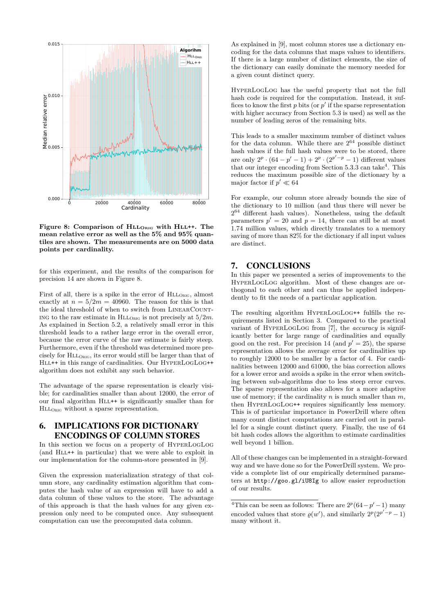

Figure 8: Comparison of  $HLL_{ORIG}$  with  $HLL^{++}$ . The **mean relative error as well as the 5% and 95% quantiles are shown. The measurements are on 5000 data points per cardinality.**

for this experiment, and the results of the comparison for precision 14 are shown in Figure 8.

First of all, there is a spike in the error of  $HLL_{ORIG}$ , almost exactly at  $n = 5/2m = 40960$ . The reason for this is that the ideal threshold of when to switch from LINEARCOUNT-ING to the raw estimate in  $HLL_{OEG}$  is not precisely at  $5/2m$ . As explained in Section 5.2, a relatively small error in this threshold leads to a rather large error in the overall error, because the error curve of the raw estimate is fairly steep. Furthermore, even if the threshold was determined more precisely for  $HLL<sub>ORIG</sub>$ , its error would still be larger than that of HLL++ in this range of cardinalities. Our HYPERLOGLOG++ algorithm does not exhibit any such behavior.

The advantage of the sparse representation is clearly visible; for cardinalities smaller than about 12000, the error of our final algorithm HLL++ is significantly smaller than for HllOrig without a sparse representation.

# 6. IMPLICATIONS FOR DICTIONARY ENCODINGS OF COLUMN STORES

In this section we focus on a property of HyperLogLog (and Hll++ in particular) that we were able to exploit in our implementation for the column-store presented in [9].

Given the expression materialization strategy of that column store, any cardinality estimation algorithm that computes the hash value of an expression will have to add a data column of these values to the store. The advantage of this approach is that the hash values for any given expression only need to be computed once. Any subsequent computation can use the precomputed data column.

As explained in [9], most column stores use a dictionary encoding for the data columns that maps values to identifiers. If there is a large number of distinct elements, the size of the dictionary can easily dominate the memory needed for a given count distinct query.

HyperLogLog has the useful property that not the full hash code is required for the computation. Instead, it suffices to know the first  $p$  bits (or  $p'$  if the sparse representation with higher accuracy from Section 5.3 is used) as well as the number of leading zeros of the remaining bits.

This leads to a smaller maximum number of distinct values for the data column. While there are  $2^{64}$  possible distinct hash values if the full hash values were to be stored, there are only  $2^p \cdot (64 - p' - 1) + 2^p \cdot (2^{p'-p} - 1)$  different values that our integer encoding from Section  $5.3.3$  can take<sup>4</sup>. This reduces the maximum possible size of the dictionary by a major factor if  $p' \ll 64$ 

For example, our column store already bounds the size of the dictionary to 10 million (and thus there will never be  $2^{64}$  different hash values). Nonetheless, using the default parameters  $p' = 20$  and  $p = 14$ , there can still be at most 1.74 million values, which directly translates to a memory saving of more than 82% for the dictionary if all input values are distinct.

#### 7. CONCLUSIONS

In this paper we presented a series of improvements to the HyperLogLog algorithm. Most of these changes are orthogonal to each other and can thus be applied independently to fit the needs of a particular application.

The resulting algorithm HyperLogLog++ fulfills the requirements listed in Section 3. Compared to the practical variant of HyperLogLog from [7], the *accuracy* is significantly better for large range of cardinalities and equally good on the rest. For precision 14 (and  $p' = 25$ ), the sparse representation allows the average error for cardinalities up to roughly 12000 to be smaller by a factor of 4. For cardinalities between 12000 and 61000, the bias correction allows for a lower error and avoids a spike in the error when switching between sub-algorithms due to less steep error curves. The sparse representation also allows for a more adaptive use of memory; if the cardinality *n* is much smaller than *m*, then HyperLogLog++ requires significantly less memory. This is of particular importance in PowerDrill where often many count distinct computations are carried out in parallel for a single count distinct query. Finally, the use of 64 bit hash codes allows the algorithm to estimate cardinalities well beyond 1 billion.

All of these changes can be implemented in a straight-forward way and we have done so for the PowerDrill system. We provide a complete list of our empirically determined parameters at http://goo.gl/iU8Ig to allow easier reproduction of our results.

<sup>&</sup>lt;sup>4</sup>This can be seen as follows: There are  $2^p(64-p'-1)$  many encoded values that store  $\varrho(w')$ , and similarly  $2^p(2^{p'-p}-1)$ many without it.